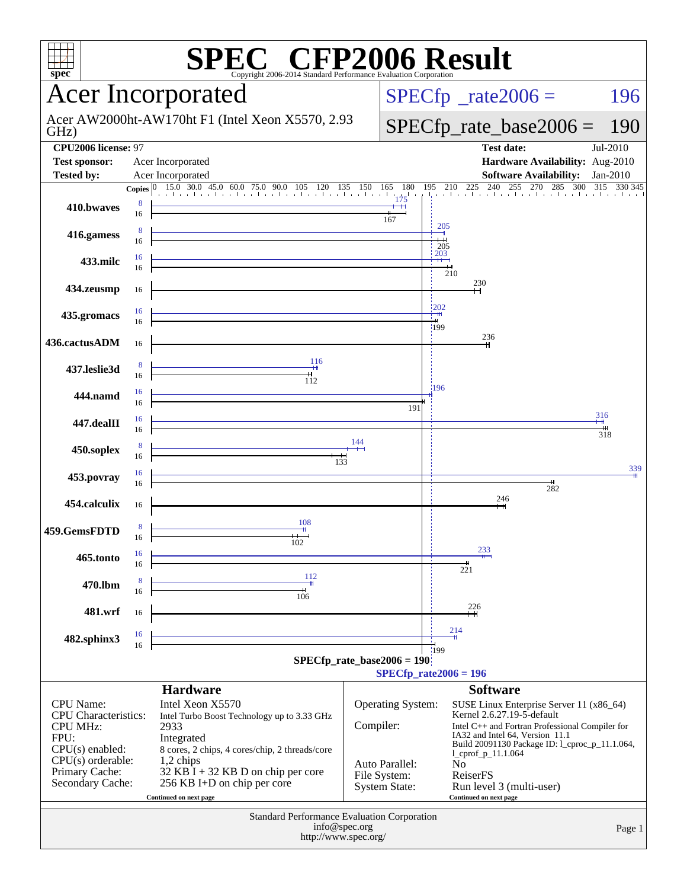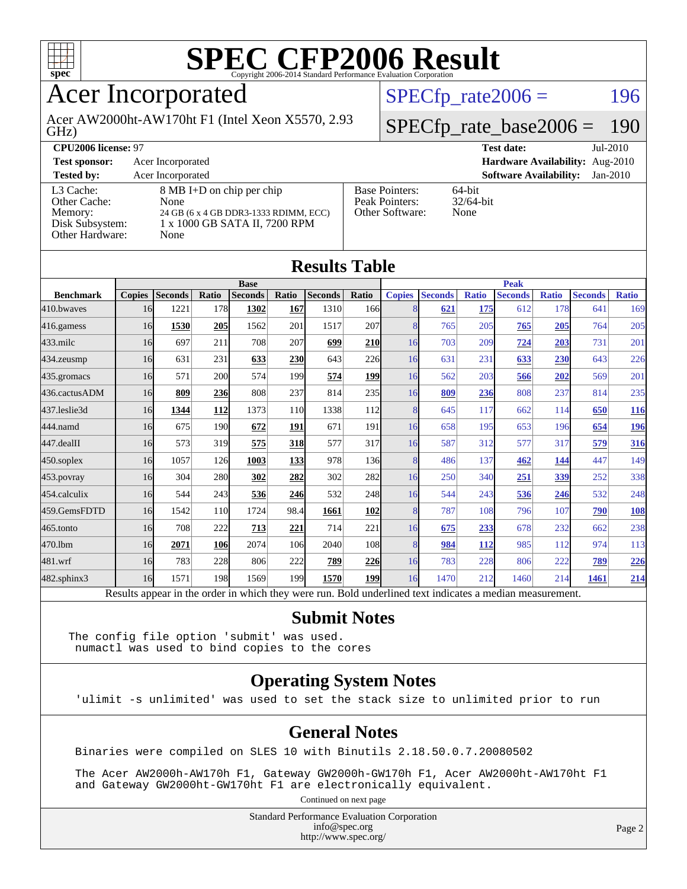

## Acer Incorporated

GHz) Acer AW2000ht-AW170ht F1 (Intel Xeon X5570, 2.93  $SPECTp_rate2006 = 196$ 

#### [SPECfp\\_rate\\_base2006 =](http://www.spec.org/auto/cpu2006/Docs/result-fields.html#SPECfpratebase2006) 190

| <b>CPU2006 license: 97</b>                                                 |                                                                                                                     |                                                            | $Jul-2010$<br><b>Test date:</b>             |
|----------------------------------------------------------------------------|---------------------------------------------------------------------------------------------------------------------|------------------------------------------------------------|---------------------------------------------|
| <b>Test sponsor:</b>                                                       | Acer Incorporated                                                                                                   | Hardware Availability: Aug-2010                            |                                             |
| <b>Tested by:</b>                                                          | Acer Incorporated                                                                                                   |                                                            | <b>Software Availability:</b><br>$Jan-2010$ |
| L3 Cache:<br>Other Cache:<br>Memory:<br>Disk Subsystem:<br>Other Hardware: | 8 MB I+D on chip per chip<br>None<br>24 GB (6 x 4 GB DDR3-1333 RDIMM, ECC)<br>1 x 1000 GB SATA II, 7200 RPM<br>None | <b>Base Pointers:</b><br>Peak Pointers:<br>Other Software: | 64-bit<br>$32/64$ -bit<br>None              |

**[Results Table](http://www.spec.org/auto/cpu2006/Docs/result-fields.html#ResultsTable)**

| Results Table    |               |                                                                                                          |            |                |       |                |                  |               |                |              |                |              |                |              |
|------------------|---------------|----------------------------------------------------------------------------------------------------------|------------|----------------|-------|----------------|------------------|---------------|----------------|--------------|----------------|--------------|----------------|--------------|
|                  | <b>Base</b>   |                                                                                                          |            |                |       | <b>Peak</b>    |                  |               |                |              |                |              |                |              |
| <b>Benchmark</b> | <b>Copies</b> | <b>Seconds</b>                                                                                           | Ratio      | <b>Seconds</b> | Ratio | <b>Seconds</b> | Ratio            | <b>Copies</b> | <b>Seconds</b> | <b>Ratio</b> | <b>Seconds</b> | <b>Ratio</b> | <b>Seconds</b> | <b>Ratio</b> |
| 410.bwayes       | 16            | 1221                                                                                                     | 178        | 1302           | 167   | 1310           | 166 <sup>I</sup> | 8             | 621            | 175          | 612            | 178          | 641            | 169          |
| 416.gamess       | 16            | 1530                                                                                                     | 205        | 1562           | 201   | 1517           | 207              | 8             | 765            | 205          | 765            | 205          | 764            | 205          |
| $433$ .milc      | 16            | 697                                                                                                      | 211        | 708            | 207   | 699            | <b>210</b>       | 16            | 703            | 209          | 724            | <b>203</b>   | 731            | 201          |
| 434.zeusmp       | 16            | 631                                                                                                      | 231        | 633            | 230   | 643            | 226              | 16            | 631            | 231          | 633            | 230          | 643            | 226          |
| 435.gromacs      | 16            | 571                                                                                                      | 200        | 574            | 199   | 574            | <b>199</b>       | 16            | 562            | 203          | 566            | 202          | 569            | 201          |
| 436.cactusADM    | 16            | 809                                                                                                      | 236        | 808            | 237   | 814            | 235              | 16            | 809            | 236          | 808            | 237          | 814            | 235          |
| 437.leslie3d     | 16            | 1344                                                                                                     | <u>112</u> | 1373           | 110   | 1338           | 112              | 8             | 645            | 117          | 662            | 114          | 650            | <u>116</u>   |
| 444.namd         | 16            | 675                                                                                                      | 190        | 672            | 191   | 671            | 191              | 16            | 658            | 195          | 653            | 196          | 654            | 196          |
| $447$ .dealII    | 16            | 573                                                                                                      | 319        | 575            | 318   | 577            | 317              | 16            | 587            | 312          | 577            | 317          | 579            | 316          |
| $450$ .soplex    | 16            | 1057                                                                                                     | 126        | 1003           | 133   | 978            | 136              | 8             | 486            | 137          | 462            | 144          | 447            | 149          |
| 453.povray       | 16            | 304                                                                                                      | 280        | 302            | 282   | 302            | <b>282</b>       | 16            | 250            | 340          | 251            | 339          | 252            | 338          |
| 454.calculix     | 16            | 544                                                                                                      | 243        | 536            | 246   | 532            | 248              | 16            | 544            | 243          | 536            | 246          | 532            | 248          |
| 459.GemsFDTD     | 16            | 1542                                                                                                     | 110        | 1724           | 98.4  | 1661           | 102              | 8             | 787            | 108          | 796            | 107          | 790            | <b>108</b>   |
| 465.tonto        | 16            | 708                                                                                                      | 222        | 713            | 221   | 714            | 221              | 16            | 675            | 233          | 678            | 232          | 662            | 238          |
| 470.1bm          | 16            | 2071                                                                                                     | 106        | 2074           | 106   | 2040           | 108              | 8             | 984            | 112          | 985            | 112          | 974            | 113          |
| 481.wrf          | 16            | 783                                                                                                      | 228        | 806            | 222   | 789            | 226              | 16            | 783            | 228          | 806            | 222          | 789            | 226          |
| 482.sphinx3      | 16            | 1571                                                                                                     | 198        | 1569           | 199   | 1570           | 199              | 16            | 1470           | 212          | 1460           | 214          | 1461           | 214          |
|                  |               | Results appear in the order in which they were run. Bold underlined text indicates a median measurement. |            |                |       |                |                  |               |                |              |                |              |                |              |

#### **[Submit Notes](http://www.spec.org/auto/cpu2006/Docs/result-fields.html#SubmitNotes)**

The config file option 'submit' was used. numactl was used to bind copies to the cores

#### **[Operating System Notes](http://www.spec.org/auto/cpu2006/Docs/result-fields.html#OperatingSystemNotes)**

'ulimit -s unlimited' was used to set the stack size to unlimited prior to run

#### **[General Notes](http://www.spec.org/auto/cpu2006/Docs/result-fields.html#GeneralNotes)**

Binaries were compiled on SLES 10 with Binutils 2.18.50.0.7.20080502

 The Acer AW2000h-AW170h F1, Gateway GW2000h-GW170h F1, Acer AW2000ht-AW170ht F1 and Gateway GW2000ht-GW170ht F1 are electronically equivalent.

Continued on next page

Standard Performance Evaluation Corporation [info@spec.org](mailto:info@spec.org) <http://www.spec.org/>

Page 2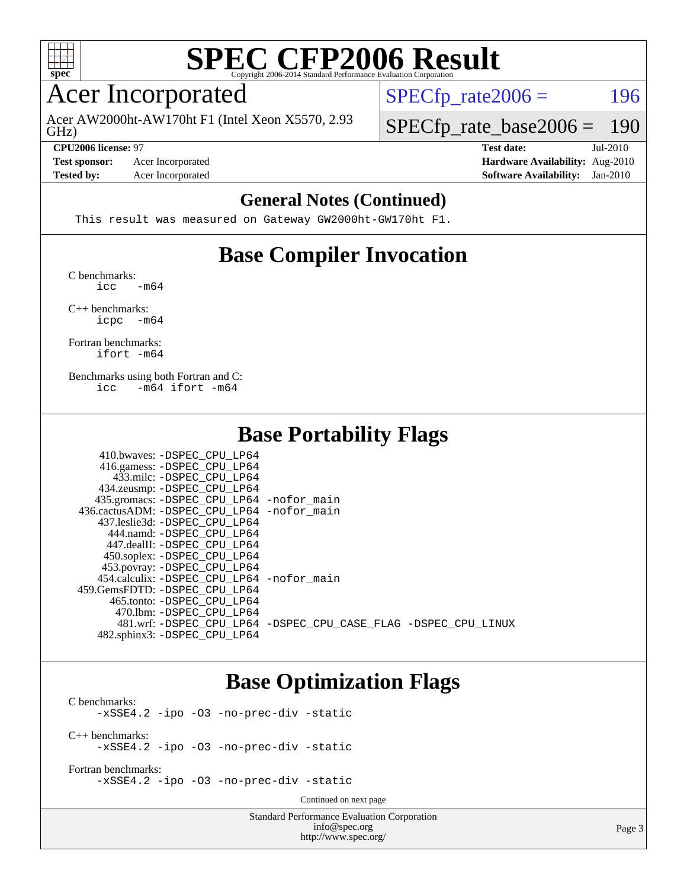

#### Acer Incorporated

GHz) Acer AW2000ht-AW170ht F1 (Intel Xeon X5570, 2.93  $SPECTp_rate2006 = 196$ 

[SPECfp\\_rate\\_base2006 =](http://www.spec.org/auto/cpu2006/Docs/result-fields.html#SPECfpratebase2006) 190

**[CPU2006 license:](http://www.spec.org/auto/cpu2006/Docs/result-fields.html#CPU2006license)** 97 **[Test date:](http://www.spec.org/auto/cpu2006/Docs/result-fields.html#Testdate)** Jul-2010

**[Test sponsor:](http://www.spec.org/auto/cpu2006/Docs/result-fields.html#Testsponsor)** Acer Incorporated **[Hardware Availability:](http://www.spec.org/auto/cpu2006/Docs/result-fields.html#HardwareAvailability)** Aug-2010

**[Tested by:](http://www.spec.org/auto/cpu2006/Docs/result-fields.html#Testedby)** Acer Incorporated **[Software Availability:](http://www.spec.org/auto/cpu2006/Docs/result-fields.html#SoftwareAvailability)** Jan-2010

#### **[General Notes \(Continued\)](http://www.spec.org/auto/cpu2006/Docs/result-fields.html#GeneralNotes)**

This result was measured on Gateway GW2000ht-GW170ht F1.

#### **[Base Compiler Invocation](http://www.spec.org/auto/cpu2006/Docs/result-fields.html#BaseCompilerInvocation)**

[C benchmarks](http://www.spec.org/auto/cpu2006/Docs/result-fields.html#Cbenchmarks):  $\text{icc}$   $-\text{m64}$ 

[C++ benchmarks:](http://www.spec.org/auto/cpu2006/Docs/result-fields.html#CXXbenchmarks) [icpc -m64](http://www.spec.org/cpu2006/results/res2010q3/cpu2006-20100802-12815.flags.html#user_CXXbase_intel_icpc_64bit_bedb90c1146cab66620883ef4f41a67e)

[Fortran benchmarks](http://www.spec.org/auto/cpu2006/Docs/result-fields.html#Fortranbenchmarks): [ifort -m64](http://www.spec.org/cpu2006/results/res2010q3/cpu2006-20100802-12815.flags.html#user_FCbase_intel_ifort_64bit_ee9d0fb25645d0210d97eb0527dcc06e)

[Benchmarks using both Fortran and C](http://www.spec.org/auto/cpu2006/Docs/result-fields.html#BenchmarksusingbothFortranandC): [icc -m64](http://www.spec.org/cpu2006/results/res2010q3/cpu2006-20100802-12815.flags.html#user_CC_FCbase_intel_icc_64bit_0b7121f5ab7cfabee23d88897260401c) [ifort -m64](http://www.spec.org/cpu2006/results/res2010q3/cpu2006-20100802-12815.flags.html#user_CC_FCbase_intel_ifort_64bit_ee9d0fb25645d0210d97eb0527dcc06e)

410.bwaves: [-DSPEC\\_CPU\\_LP64](http://www.spec.org/cpu2006/results/res2010q3/cpu2006-20100802-12815.flags.html#suite_basePORTABILITY410_bwaves_DSPEC_CPU_LP64)

#### **[Base Portability Flags](http://www.spec.org/auto/cpu2006/Docs/result-fields.html#BasePortabilityFlags)**

| 410.0Waves: -DSPEC CPU LP64                                    |  |
|----------------------------------------------------------------|--|
| 416.gamess: -DSPEC_CPU_LP64                                    |  |
| 433.milc: -DSPEC CPU LP64                                      |  |
| 434.zeusmp: -DSPEC_CPU_LP64                                    |  |
| 435.gromacs: -DSPEC_CPU_LP64 -nofor_main                       |  |
| 436.cactusADM: - DSPEC CPU LP64 - nofor main                   |  |
| 437.leslie3d: -DSPEC CPU LP64                                  |  |
| 444.namd: -DSPEC CPU LP64                                      |  |
| 447.dealII: -DSPEC CPU LP64                                    |  |
| 450.soplex: -DSPEC_CPU_LP64                                    |  |
| 453.povray: -DSPEC_CPU_LP64                                    |  |
| 454.calculix: -DSPEC CPU LP64 -nofor main                      |  |
| 459. GemsFDTD: - DSPEC CPU LP64                                |  |
| 465.tonto: -DSPEC CPU LP64                                     |  |
| 470.1bm: - DSPEC CPU LP64                                      |  |
| 481.wrf: -DSPEC CPU LP64 -DSPEC CPU CASE FLAG -DSPEC CPU LINUX |  |
| 482.sphinx3: -DSPEC CPU LP64                                   |  |
|                                                                |  |

#### **[Base Optimization Flags](http://www.spec.org/auto/cpu2006/Docs/result-fields.html#BaseOptimizationFlags)**

[C benchmarks](http://www.spec.org/auto/cpu2006/Docs/result-fields.html#Cbenchmarks): [-xSSE4.2](http://www.spec.org/cpu2006/results/res2010q3/cpu2006-20100802-12815.flags.html#user_CCbase_f-xSSE42_f91528193cf0b216347adb8b939d4107) [-ipo](http://www.spec.org/cpu2006/results/res2010q3/cpu2006-20100802-12815.flags.html#user_CCbase_f-ipo) [-O3](http://www.spec.org/cpu2006/results/res2010q3/cpu2006-20100802-12815.flags.html#user_CCbase_f-O3) [-no-prec-div](http://www.spec.org/cpu2006/results/res2010q3/cpu2006-20100802-12815.flags.html#user_CCbase_f-no-prec-div) [-static](http://www.spec.org/cpu2006/results/res2010q3/cpu2006-20100802-12815.flags.html#user_CCbase_f-static) [C++ benchmarks:](http://www.spec.org/auto/cpu2006/Docs/result-fields.html#CXXbenchmarks) [-xSSE4.2](http://www.spec.org/cpu2006/results/res2010q3/cpu2006-20100802-12815.flags.html#user_CXXbase_f-xSSE42_f91528193cf0b216347adb8b939d4107) [-ipo](http://www.spec.org/cpu2006/results/res2010q3/cpu2006-20100802-12815.flags.html#user_CXXbase_f-ipo) [-O3](http://www.spec.org/cpu2006/results/res2010q3/cpu2006-20100802-12815.flags.html#user_CXXbase_f-O3) [-no-prec-div](http://www.spec.org/cpu2006/results/res2010q3/cpu2006-20100802-12815.flags.html#user_CXXbase_f-no-prec-div) [-static](http://www.spec.org/cpu2006/results/res2010q3/cpu2006-20100802-12815.flags.html#user_CXXbase_f-static)

[Fortran benchmarks](http://www.spec.org/auto/cpu2006/Docs/result-fields.html#Fortranbenchmarks): [-xSSE4.2](http://www.spec.org/cpu2006/results/res2010q3/cpu2006-20100802-12815.flags.html#user_FCbase_f-xSSE42_f91528193cf0b216347adb8b939d4107) [-ipo](http://www.spec.org/cpu2006/results/res2010q3/cpu2006-20100802-12815.flags.html#user_FCbase_f-ipo) [-O3](http://www.spec.org/cpu2006/results/res2010q3/cpu2006-20100802-12815.flags.html#user_FCbase_f-O3) [-no-prec-div](http://www.spec.org/cpu2006/results/res2010q3/cpu2006-20100802-12815.flags.html#user_FCbase_f-no-prec-div) [-static](http://www.spec.org/cpu2006/results/res2010q3/cpu2006-20100802-12815.flags.html#user_FCbase_f-static)

Continued on next page

Standard Performance Evaluation Corporation [info@spec.org](mailto:info@spec.org) <http://www.spec.org/>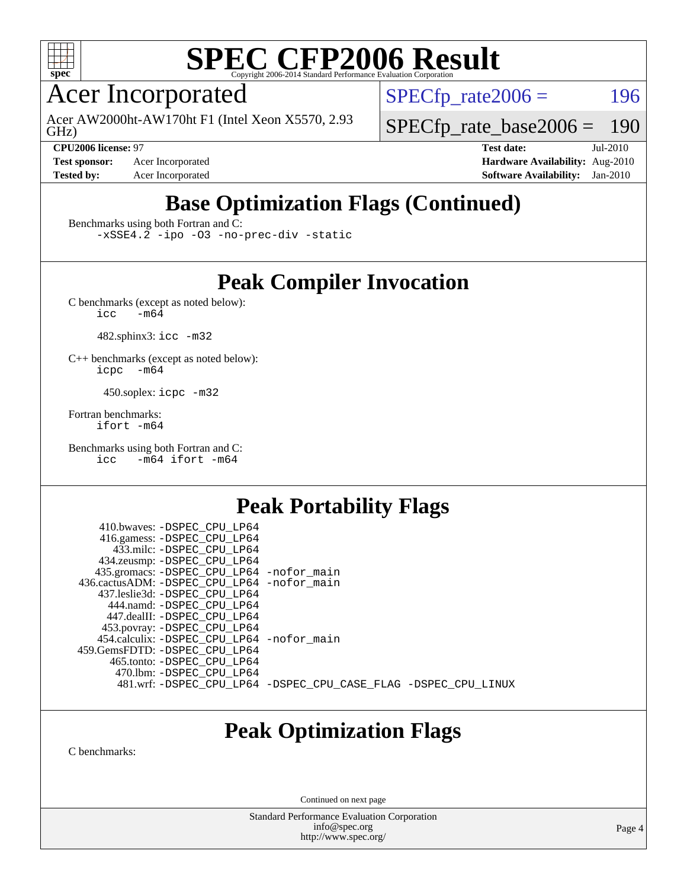

Acer Incorporated

GHz) Acer AW2000ht-AW170ht F1 (Intel Xeon X5570, 2.93  $SPECTp\_rate2006 = 196$ 

[SPECfp\\_rate\\_base2006 =](http://www.spec.org/auto/cpu2006/Docs/result-fields.html#SPECfpratebase2006) 190

**[Test sponsor:](http://www.spec.org/auto/cpu2006/Docs/result-fields.html#Testsponsor)** Acer Incorporated **[Hardware Availability:](http://www.spec.org/auto/cpu2006/Docs/result-fields.html#HardwareAvailability)** Aug-2010

**[CPU2006 license:](http://www.spec.org/auto/cpu2006/Docs/result-fields.html#CPU2006license)** 97 **[Test date:](http://www.spec.org/auto/cpu2006/Docs/result-fields.html#Testdate)** Jul-2010 **[Tested by:](http://www.spec.org/auto/cpu2006/Docs/result-fields.html#Testedby)** Acer Incorporated **[Software Availability:](http://www.spec.org/auto/cpu2006/Docs/result-fields.html#SoftwareAvailability)** Jan-2010

## **[Base Optimization Flags \(Continued\)](http://www.spec.org/auto/cpu2006/Docs/result-fields.html#BaseOptimizationFlags)**

[Benchmarks using both Fortran and C](http://www.spec.org/auto/cpu2006/Docs/result-fields.html#BenchmarksusingbothFortranandC):

[-xSSE4.2](http://www.spec.org/cpu2006/results/res2010q3/cpu2006-20100802-12815.flags.html#user_CC_FCbase_f-xSSE42_f91528193cf0b216347adb8b939d4107) [-ipo](http://www.spec.org/cpu2006/results/res2010q3/cpu2006-20100802-12815.flags.html#user_CC_FCbase_f-ipo) [-O3](http://www.spec.org/cpu2006/results/res2010q3/cpu2006-20100802-12815.flags.html#user_CC_FCbase_f-O3) [-no-prec-div](http://www.spec.org/cpu2006/results/res2010q3/cpu2006-20100802-12815.flags.html#user_CC_FCbase_f-no-prec-div) [-static](http://www.spec.org/cpu2006/results/res2010q3/cpu2006-20100802-12815.flags.html#user_CC_FCbase_f-static)

### **[Peak Compiler Invocation](http://www.spec.org/auto/cpu2006/Docs/result-fields.html#PeakCompilerInvocation)**

[C benchmarks \(except as noted below\)](http://www.spec.org/auto/cpu2006/Docs/result-fields.html#Cbenchmarksexceptasnotedbelow):<br> $\frac{1}{\text{CC}}$  -m64  $-m64$ 

482.sphinx3: [icc -m32](http://www.spec.org/cpu2006/results/res2010q3/cpu2006-20100802-12815.flags.html#user_peakCCLD482_sphinx3_intel_icc_32bit_a6a621f8d50482236b970c6ac5f55f93)

[C++ benchmarks \(except as noted below\):](http://www.spec.org/auto/cpu2006/Docs/result-fields.html#CXXbenchmarksexceptasnotedbelow) [icpc -m64](http://www.spec.org/cpu2006/results/res2010q3/cpu2006-20100802-12815.flags.html#user_CXXpeak_intel_icpc_64bit_bedb90c1146cab66620883ef4f41a67e)

450.soplex: [icpc -m32](http://www.spec.org/cpu2006/results/res2010q3/cpu2006-20100802-12815.flags.html#user_peakCXXLD450_soplex_intel_icpc_32bit_4e5a5ef1a53fd332b3c49e69c3330699)

[Fortran benchmarks](http://www.spec.org/auto/cpu2006/Docs/result-fields.html#Fortranbenchmarks): [ifort -m64](http://www.spec.org/cpu2006/results/res2010q3/cpu2006-20100802-12815.flags.html#user_FCpeak_intel_ifort_64bit_ee9d0fb25645d0210d97eb0527dcc06e)

[Benchmarks using both Fortran and C](http://www.spec.org/auto/cpu2006/Docs/result-fields.html#BenchmarksusingbothFortranandC): [icc -m64](http://www.spec.org/cpu2006/results/res2010q3/cpu2006-20100802-12815.flags.html#user_CC_FCpeak_intel_icc_64bit_0b7121f5ab7cfabee23d88897260401c) [ifort -m64](http://www.spec.org/cpu2006/results/res2010q3/cpu2006-20100802-12815.flags.html#user_CC_FCpeak_intel_ifort_64bit_ee9d0fb25645d0210d97eb0527dcc06e)

### **[Peak Portability Flags](http://www.spec.org/auto/cpu2006/Docs/result-fields.html#PeakPortabilityFlags)**

 410.bwaves: [-DSPEC\\_CPU\\_LP64](http://www.spec.org/cpu2006/results/res2010q3/cpu2006-20100802-12815.flags.html#suite_peakPORTABILITY410_bwaves_DSPEC_CPU_LP64) 416.gamess: [-DSPEC\\_CPU\\_LP64](http://www.spec.org/cpu2006/results/res2010q3/cpu2006-20100802-12815.flags.html#suite_peakPORTABILITY416_gamess_DSPEC_CPU_LP64) 433.milc: [-DSPEC\\_CPU\\_LP64](http://www.spec.org/cpu2006/results/res2010q3/cpu2006-20100802-12815.flags.html#suite_peakPORTABILITY433_milc_DSPEC_CPU_LP64) 434.zeusmp: [-DSPEC\\_CPU\\_LP64](http://www.spec.org/cpu2006/results/res2010q3/cpu2006-20100802-12815.flags.html#suite_peakPORTABILITY434_zeusmp_DSPEC_CPU_LP64) 435.gromacs: [-DSPEC\\_CPU\\_LP64](http://www.spec.org/cpu2006/results/res2010q3/cpu2006-20100802-12815.flags.html#suite_peakPORTABILITY435_gromacs_DSPEC_CPU_LP64) [-nofor\\_main](http://www.spec.org/cpu2006/results/res2010q3/cpu2006-20100802-12815.flags.html#user_peakLDPORTABILITY435_gromacs_f-nofor_main) 436.cactusADM: [-DSPEC\\_CPU\\_LP64](http://www.spec.org/cpu2006/results/res2010q3/cpu2006-20100802-12815.flags.html#suite_peakPORTABILITY436_cactusADM_DSPEC_CPU_LP64) [-nofor\\_main](http://www.spec.org/cpu2006/results/res2010q3/cpu2006-20100802-12815.flags.html#user_peakLDPORTABILITY436_cactusADM_f-nofor_main) 437.leslie3d: [-DSPEC\\_CPU\\_LP64](http://www.spec.org/cpu2006/results/res2010q3/cpu2006-20100802-12815.flags.html#suite_peakPORTABILITY437_leslie3d_DSPEC_CPU_LP64) 444.namd: [-DSPEC\\_CPU\\_LP64](http://www.spec.org/cpu2006/results/res2010q3/cpu2006-20100802-12815.flags.html#suite_peakPORTABILITY444_namd_DSPEC_CPU_LP64) 447.dealII: [-DSPEC\\_CPU\\_LP64](http://www.spec.org/cpu2006/results/res2010q3/cpu2006-20100802-12815.flags.html#suite_peakPORTABILITY447_dealII_DSPEC_CPU_LP64) 453.povray: [-DSPEC\\_CPU\\_LP64](http://www.spec.org/cpu2006/results/res2010q3/cpu2006-20100802-12815.flags.html#suite_peakPORTABILITY453_povray_DSPEC_CPU_LP64) 454.calculix: [-DSPEC\\_CPU\\_LP64](http://www.spec.org/cpu2006/results/res2010q3/cpu2006-20100802-12815.flags.html#suite_peakPORTABILITY454_calculix_DSPEC_CPU_LP64) [-nofor\\_main](http://www.spec.org/cpu2006/results/res2010q3/cpu2006-20100802-12815.flags.html#user_peakLDPORTABILITY454_calculix_f-nofor_main) 459.GemsFDTD: [-DSPEC\\_CPU\\_LP64](http://www.spec.org/cpu2006/results/res2010q3/cpu2006-20100802-12815.flags.html#suite_peakPORTABILITY459_GemsFDTD_DSPEC_CPU_LP64) 465.tonto: [-DSPEC\\_CPU\\_LP64](http://www.spec.org/cpu2006/results/res2010q3/cpu2006-20100802-12815.flags.html#suite_peakPORTABILITY465_tonto_DSPEC_CPU_LP64) 470.lbm: [-DSPEC\\_CPU\\_LP64](http://www.spec.org/cpu2006/results/res2010q3/cpu2006-20100802-12815.flags.html#suite_peakPORTABILITY470_lbm_DSPEC_CPU_LP64) 481.wrf: [-DSPEC\\_CPU\\_LP64](http://www.spec.org/cpu2006/results/res2010q3/cpu2006-20100802-12815.flags.html#suite_peakPORTABILITY481_wrf_DSPEC_CPU_LP64) [-DSPEC\\_CPU\\_CASE\\_FLAG](http://www.spec.org/cpu2006/results/res2010q3/cpu2006-20100802-12815.flags.html#b481.wrf_peakCPORTABILITY_DSPEC_CPU_CASE_FLAG) [-DSPEC\\_CPU\\_LINUX](http://www.spec.org/cpu2006/results/res2010q3/cpu2006-20100802-12815.flags.html#b481.wrf_peakCPORTABILITY_DSPEC_CPU_LINUX)

### **[Peak Optimization Flags](http://www.spec.org/auto/cpu2006/Docs/result-fields.html#PeakOptimizationFlags)**

[C benchmarks](http://www.spec.org/auto/cpu2006/Docs/result-fields.html#Cbenchmarks):

Continued on next page

Standard Performance Evaluation Corporation [info@spec.org](mailto:info@spec.org) <http://www.spec.org/>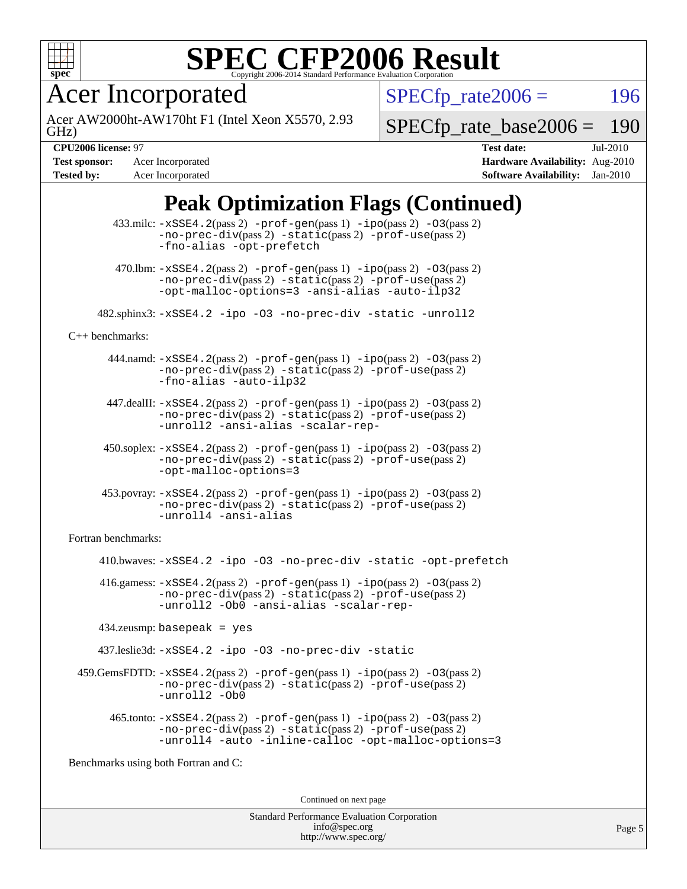

Acer Incorporated

GHz) Acer AW2000ht-AW170ht F1 (Intel Xeon X5570, 2.93  $SPECTp_rate2006 = 196$ 

[SPECfp\\_rate\\_base2006 =](http://www.spec.org/auto/cpu2006/Docs/result-fields.html#SPECfpratebase2006) 190

**[Tested by:](http://www.spec.org/auto/cpu2006/Docs/result-fields.html#Testedby)** Acer Incorporated **[Software Availability:](http://www.spec.org/auto/cpu2006/Docs/result-fields.html#SoftwareAvailability)** Jan-2010

**[CPU2006 license:](http://www.spec.org/auto/cpu2006/Docs/result-fields.html#CPU2006license)** 97 **[Test date:](http://www.spec.org/auto/cpu2006/Docs/result-fields.html#Testdate)** Jul-2010 **[Test sponsor:](http://www.spec.org/auto/cpu2006/Docs/result-fields.html#Testsponsor)** Acer Incorporated **[Hardware Availability:](http://www.spec.org/auto/cpu2006/Docs/result-fields.html#HardwareAvailability)** Aug-2010

### **[Peak Optimization Flags \(Continued\)](http://www.spec.org/auto/cpu2006/Docs/result-fields.html#PeakOptimizationFlags)**

|                                      | $433 \text{.}$ milc: $-xSSE4$ . $2(pass 2)$ -prof-gen $(pass 1)$ -ipo $(pass 2)$ -03 $(pass 2)$<br>$-no-prec-div(pass 2) -static(pass 2) -prof-use(pass 2)$<br>-fno-alias -opt-prefetch                                                      |  |  |  |
|--------------------------------------|----------------------------------------------------------------------------------------------------------------------------------------------------------------------------------------------------------------------------------------------|--|--|--|
|                                      | $470.$ Ibm: $-xSSE4$ . $2(pass 2)$ $-prof-gen(pass 1)$ $-ipo(pass 2)$ $-03(pass 2)$<br>-no-prec-div(pass 2) -static(pass 2) -prof-use(pass 2)<br>-opt-malloc-options=3 -ansi-alias -auto-ilp32                                               |  |  |  |
|                                      | 482.sphinx3:-xSSE4.2 -ipo -03 -no-prec-div -static -unroll2                                                                                                                                                                                  |  |  |  |
| $C++$ benchmarks:                    |                                                                                                                                                                                                                                              |  |  |  |
|                                      | $444$ .namd: $-xSSE4$ . $2(pass 2)$ -prof-gen(pass 1) -ipo(pass 2) -03(pass 2)<br>-no-prec-div(pass 2) -static(pass 2) -prof-use(pass 2)<br>-fno-alias -auto-ilp32                                                                           |  |  |  |
|                                      | 447.dealII: -xSSE4.2(pass 2) -prof-gen(pass 1) -ipo(pass 2) -03(pass 2)<br>-no-prec-div(pass 2) -static(pass 2) -prof-use(pass 2)<br>-unroll2 -ansi-alias -scalar-rep-                                                                       |  |  |  |
|                                      | $450.\text{soplex: } -x\text{SSE4}.2(\text{pass 2}) - \text{prof-gen}(\text{pass 1}) - \text{ipo}(\text{pass 2}) - 03(\text{pass 2})$<br>$-no\text{-prec-div}(pass 2)$ $-static(pass 2)$ $-prot\text{-use}(pass 2)$<br>-opt-malloc-options=3 |  |  |  |
|                                      | $453.$ povray: $-xSSE4.2(pass 2)$ -prof-gen(pass 1) -ipo(pass 2) -03(pass 2)<br>$-no\text{-prec-div}(pass 2)$ $-static(pass 2)$ $-prot\text{-use}(pass 2)$<br>-unroll4 -ansi-alias                                                           |  |  |  |
| Fortran benchmarks:                  |                                                                                                                                                                                                                                              |  |  |  |
|                                      | 410.bwaves: -xSSE4.2 -ipo -03 -no-prec-div -static -opt-prefetch                                                                                                                                                                             |  |  |  |
|                                      | 416.gamess: $-xSSE4$ . 2(pass 2) $-prof-gen(pass 1) -ipo(pass 2) -03(pass 2)$<br>$-no\text{-prec-div}(pass 2)$ $-static(pass 2)$ $-prot\text{-use}(pass 2)$<br>-unroll2 - Ob0 -ansi-alias -scalar-rep-                                       |  |  |  |
| $434$ .zeusmp: basepeak = yes        |                                                                                                                                                                                                                                              |  |  |  |
|                                      | 437.leslie3d: -xSSE4.2 -ipo -03 -no-prec-div -static                                                                                                                                                                                         |  |  |  |
|                                      | 459.GemsFDTD: -xSSE4.2(pass 2) -prof-gen(pass 1) -ipo(pass 2) -03(pass 2)<br>$-no-prec-div(pass 2) -static(pass 2) -prof-use(pass 2)$<br>-unroll2 -Ob0                                                                                       |  |  |  |
|                                      | 465.tonto: -xSSE4.2(pass 2) -prof-gen(pass 1) -ipo(pass 2) -03(pass 2)<br>-no-prec-div(pass 2) -static(pass 2) -prof-use(pass 2)<br>-unroll4 -auto -inline-calloc -opt-malloc-options=3                                                      |  |  |  |
| Benchmarks using both Fortran and C: |                                                                                                                                                                                                                                              |  |  |  |
| Continued on next page               |                                                                                                                                                                                                                                              |  |  |  |
|                                      |                                                                                                                                                                                                                                              |  |  |  |